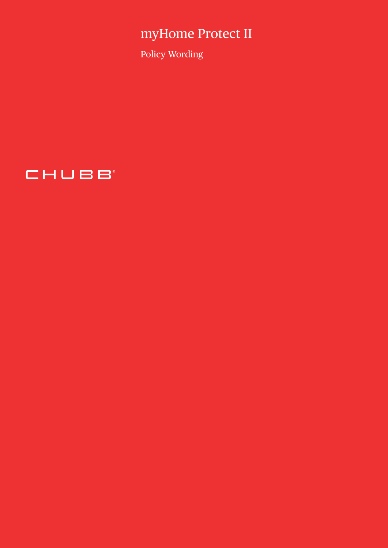# myHome Protect II

Policy Wording

CHUBB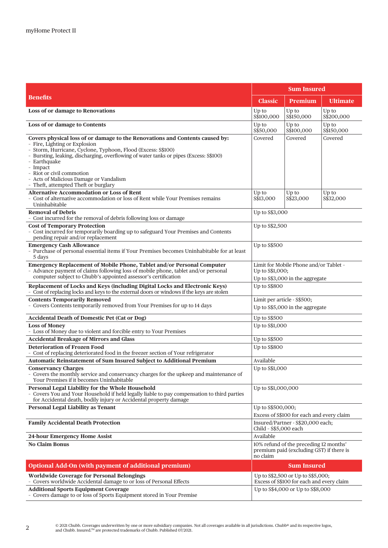|                                                                                                                                                                                                                                                                                                                                                                                                                     | <b>Sum Insured</b>                                                                             |                     |                     |
|---------------------------------------------------------------------------------------------------------------------------------------------------------------------------------------------------------------------------------------------------------------------------------------------------------------------------------------------------------------------------------------------------------------------|------------------------------------------------------------------------------------------------|---------------------|---------------------|
| <b>Benefits</b>                                                                                                                                                                                                                                                                                                                                                                                                     | <b>Classic</b>                                                                                 | Premium             | <b>Ultimate</b>     |
| Loss of or damage to Renovations                                                                                                                                                                                                                                                                                                                                                                                    | Up to<br>S\$100,000                                                                            | Up to<br>S\$150,000 | Up to<br>S\$200,000 |
| Loss of or damage to Contents                                                                                                                                                                                                                                                                                                                                                                                       | Up to<br>S\$50,000                                                                             | Up to<br>S\$100,000 | Up to<br>S\$150,000 |
| Covers physical loss of or damage to the Renovations and Contents caused by:<br>- Fire, Lighting or Explosion<br>- Storm, Hurricane, Cyclone, Typhoon, Flood (Excess: S\$100)<br>- Bursting, leaking, discharging, overflowing of water tanks or pipes (Excess: S\$100)<br>- Earthquake<br>- Impact<br>- Riot or civil commotion<br>- Acts of Malicious Damage or Vandalism<br>- Theft, attempted Theft or burglary | Covered                                                                                        | Covered             | Covered             |
| <b>Alternative Accommodation or Loss of Rent</b><br>- Cost of alternative accommodation or loss of Rent while Your Premises remains<br>Uninhabitable                                                                                                                                                                                                                                                                | Up to<br>\$\$13,000                                                                            | Up to<br>S\$23,000  | Up to<br>S\$32,000  |
| <b>Removal of Debris</b><br>- Cost incurred for the removal of debris following loss or damage                                                                                                                                                                                                                                                                                                                      | Up to S\$3,000                                                                                 |                     |                     |
| <b>Cost of Temporary Protection</b><br>- Cost incurred for temporarily boarding up to safeguard Your Premises and Contents<br>pending repair and/or replacement                                                                                                                                                                                                                                                     | Up to S\$2,500                                                                                 |                     |                     |
| <b>Emergency Cash Allowance</b><br>- Purchase of personal essential items if Your Premises becomes Uninhabitable for at least<br>5 days                                                                                                                                                                                                                                                                             | Up to S\$500                                                                                   |                     |                     |
| Emergency Replacement of Mobile Phone, Tablet and/or Personal Computer<br>- Advance payment of claims following loss of mobile phone, tablet and/or personal<br>computer subject to Chubb's appointed assessor's certification                                                                                                                                                                                      | Limit for Mobile Phone and/or Tablet -<br>Up to S\$1,000;<br>Up to S\$3,000 in the aggregate   |                     |                     |
| Replacement of Locks and Keys (including Digital Locks and Electronic Keys)<br>- Cost of replacing locks and keys to the external doors or windows if the keys are stolen                                                                                                                                                                                                                                           | Up to S\$800                                                                                   |                     |                     |
| <b>Contents Temporarily Removed</b><br>- Covers Contents temporarily removed from Your Premises for up to 14 days                                                                                                                                                                                                                                                                                                   | Limit per article - S\$500;<br>Up to S\$5,000 in the aggregate                                 |                     |                     |
| <b>Accidental Death of Domestic Pet (Cat or Dog)</b>                                                                                                                                                                                                                                                                                                                                                                | Up to S\$500                                                                                   |                     |                     |
| <b>Loss of Money</b><br>- Loss of Money due to violent and forcible entry to Your Premises                                                                                                                                                                                                                                                                                                                          | Up to S\$1,000                                                                                 |                     |                     |
| <b>Accidental Breakage of Mirrors and Glass</b>                                                                                                                                                                                                                                                                                                                                                                     | Up to S\$500                                                                                   |                     |                     |
| <b>Deterioration of Frozen Food</b><br>- Cost of replacing deteriorated food in the freezer section of Your refrigerator                                                                                                                                                                                                                                                                                            | Up to S\$800                                                                                   |                     |                     |
| Automatic Reinstatement of Sum Insured Subject to Additional Premium                                                                                                                                                                                                                                                                                                                                                | Available                                                                                      |                     |                     |
| <b>Conservancy Charges</b><br>- Covers the monthly service and conservancy charges for the upkeep and maintenance of<br>Your Premises if it becomes Uninhabitable                                                                                                                                                                                                                                                   | Up to S\$1,000                                                                                 |                     |                     |
| Personal Legal Liability for the Whole Household<br>- Covers You and Your Household if held legally liable to pay compensation to third parties<br>for Accidental death, bodily injury or Accidental property damage                                                                                                                                                                                                | Up to \$\$1,000,000                                                                            |                     |                     |
| <b>Personal Legal Liability as Tenant</b>                                                                                                                                                                                                                                                                                                                                                                           | Up to S\$500,000;<br>Excess of S\$100 for each and every claim                                 |                     |                     |
| <b>Family Accidental Death Protection</b>                                                                                                                                                                                                                                                                                                                                                                           | Insured/Partner - S\$20,000 each;<br>Child - S\$5,000 each                                     |                     |                     |
| 24-hour Emergency Home Assist                                                                                                                                                                                                                                                                                                                                                                                       | Available                                                                                      |                     |                     |
| <b>No Claim Bonus</b>                                                                                                                                                                                                                                                                                                                                                                                               | 10% refund of the preceding 12 months'<br>premium paid (excluding GST) if there is<br>no claim |                     |                     |
| Optional Add-On (with payment of additional premium)                                                                                                                                                                                                                                                                                                                                                                | <b>Sum Insured</b>                                                                             |                     |                     |
| <b>Worldwide Coverage for Personal Belongings</b><br>- Covers worldwide Accidental damage to or loss of Personal Effects                                                                                                                                                                                                                                                                                            | Up to S\$2,500 or Up to S\$5,000;<br>Excess of S\$100 for each and every claim                 |                     |                     |
| <b>Additional Sports Equipment Coverage</b><br>- Covers damage to or loss of Sports Equipment stored in Your Premise                                                                                                                                                                                                                                                                                                | Up to S\$4,000 or Up to S\$8,000                                                               |                     |                     |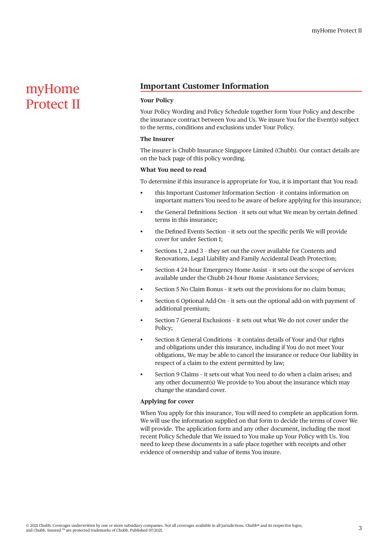# myHome Protect II

# **Important Customer Information**

# **Your Policy**

Your Policy Wording and Policy Schedule together form Your Policy and describe the insurance contract between You and Us. We insure You for the Event(s) subject to the terms, conditions and exclusions under Your Policy.

#### **The Insurer**

The insurer is Chubb Insurance Singapore Limited (Chubb). Our contact details are on the back page of this policy wording.

#### **What You need to read**

To determine if this insurance is appropriate for You, it is important that You read:

- this Important Customer Information Section it contains information on important matters You need to be aware of before applying for this insurance;
- the General Definitions Section it sets out what We mean by certain defined terms in this insurance;
- the Defined Events Section it sets out the specific perils We will provide cover for under Section 1;
- Sections 1, 2 and 3 they set out the cover available for Contents and Renovations, Legal Liability and Family Accidental Death Protection;
- Section 4 24-hour Emergency Home Assist it sets out the scope of services available under the Chubb 24-hour Home Assistance Services;
- Section 5 No Claim Bonus it sets out the provisions for no claim bonus;
- Section 6 Optional Add-On it sets out the optional add-on with payment of additional premium;
- Section 7 General Exclusions it sets out what We do not cover under the Policy;
- Section 8 General Conditions it contains details of Your and Our rights and obligations under this insurance, including if You do not meet Your obligations, We may be able to cancel the insurance or reduce Our liability in respect of a claim to the extent permitted by law;
- Section 9 Claims it sets out what You need to do when a claim arises; and any other document(s) We provide to You about the insurance which may change the standard cover.

#### **Applying for cover**

When You apply for this insurance, You will need to complete an application form. We will use the information supplied on that form to decide the terms of cover We will provide. The application form and any other document, including the most recent Policy Schedule that We issued to You make up Your Policy with Us. You need to keep these documents in a safe place together with receipts and other evidence of ownership and value of items You insure.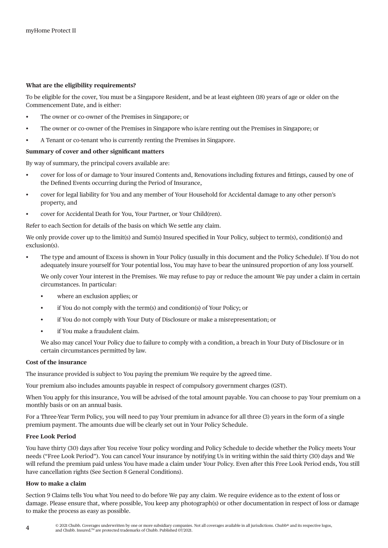## **What are the eligibility requirements?**

To be eligible for the cover, You must be a Singapore Resident, and be at least eighteen (18) years of age or older on the Commencement Date, and is either:

- The owner or co-owner of the Premises in Singapore; or
- The owner or co-owner of the Premises in Singapore who is/are renting out the Premises in Singapore; or
- A Tenant or co-tenant who is currently renting the Premises in Singapore.

### **Summary of cover and other significant matters**

By way of summary, the principal covers available are:

- cover for loss of or damage to Your insured Contents and, Renovations including fixtures and fittings, caused by one of the Defined Events occurring during the Period of Insurance,
- cover for legal liability for You and any member of Your Household for Accidental damage to any other person's property, and
- cover for Accidental Death for You, Your Partner, or Your Child(ren).

Refer to each Section for details of the basis on which We settle any claim.

We only provide cover up to the limit(s) and Sum(s) Insured specified in Your Policy, subject to term(s), condition(s) and exclusion(s).

• The type and amount of Excess is shown in Your Policy (usually in this document and the Policy Schedule). If You do not adequately insure yourself for Your potential loss, You may have to bear the uninsured proportion of any loss yourself.

We only cover Your interest in the Premises. We may refuse to pay or reduce the amount We pay under a claim in certain circumstances. In particular:

- where an exclusion applies; or
- if You do not comply with the term(s) and condition(s) of Your Policy; or
- if You do not comply with Your Duty of Disclosure or make a misrepresentation; or
- if You make a fraudulent claim.

We also may cancel Your Policy due to failure to comply with a condition, a breach in Your Duty of Disclosure or in certain circumstances permitted by law.

#### **Cost of the insurance**

The insurance provided is subject to You paying the premium We require by the agreed time.

Your premium also includes amounts payable in respect of compulsory government charges (GST).

When You apply for this insurance, You will be advised of the total amount payable. You can choose to pay Your premium on a monthly basis or on an annual basis.

For a Three-Year Term Policy, you will need to pay Your premium in advance for all three (3) years in the form of a single premium payment. The amounts due will be clearly set out in Your Policy Schedule.

#### **Free Look Period**

You have thirty (30) days after You receive Your policy wording and Policy Schedule to decide whether the Policy meets Your needs ("Free Look Period"). You can cancel Your insurance by notifying Us in writing within the said thirty (30) days and We will refund the premium paid unless You have made a claim under Your Policy. Even after this Free Look Period ends, You still have cancellation rights (See Section 8 General Conditions).

#### **How to make a claim**

Section 9 Claims tells You what You need to do before We pay any claim. We require evidence as to the extent of loss or damage. Please ensure that, where possible, You keep any photograph(s) or other documentation in respect of loss or damage to make the process as easy as possible.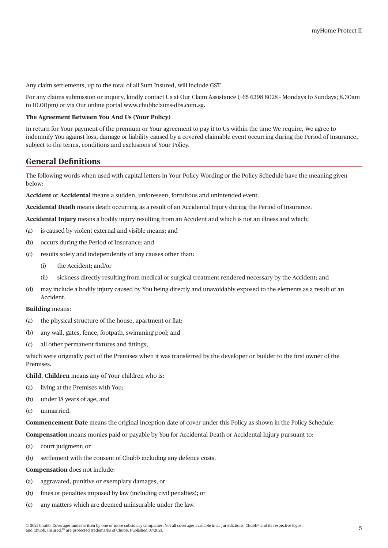Any claim settlements, up to the total of all Sum Insured, will include GST.

For any claims submission or inquiry, kindly contact Us at Our Claim Assistance (+65 6398 8028 - Mondays to Sundays; 8.30am to 10.00pm) or via Our online portal [www.chubbclaims-dbs.com.sg.](http://www.chubbclaims-dbs.com.sg)

### **The Agreement Between You And Us (Your Policy)**

In return for Your payment of the premium or Your agreement to pay it to Us within the time We require, We agree to indemnify You against loss, damage or liability caused by a covered claimable event occurring during the Period of Insurance, subject to the terms, conditions and exclusions of Your Policy.

# **General Definitions**

The following words when used with capital letters in Your Policy Wording or the Policy Schedule have the meaning given below:

**Accident** or **Accidental** means a sudden, unforeseen, fortuitous and unintended event.

**Accidental Death** means death occurring as a result of an Accidental Injury during the Period of Insurance.

**Accidental Injury** means a bodily injury resulting from an Accident and which is not an illness and which:

- (a) is caused by violent external and visible means; and
- (b) occurs during the Period of Insurance; and
- (c) results solely and independently of any causes other than:
	- (i) the Accident; and/or
	- (ii) sickness directly resulting from medical or surgical treatment rendered necessary by the Accident; and
- (d) may include a bodily injury caused by You being directly and unavoidably exposed to the elements as a result of an Accident.

# **Building** means:

- (a) the physical structure of the house, apartment or flat;
- (b) any wall, gates, fence, footpath, swimming pool; and
- (c) all other permanent fixtures and fittings;

which were originally part of the Premises when it was transferred by the developer or builder to the first owner of the Premises.

**Child**, **Children** means any of Your children who is:

- (a) living at the Premises with You;
- (b) under 18 years of age; and
- (c) unmarried.

**Commencement Date** means the original inception date of cover under this Policy as shown in the Policy Schedule.

**Compensation** means monies paid or payable by You for Accidental Death or Accidental Injury pursuant to:

- (a) court judgment; or
- (b) settlement with the consent of Chubb including any defence costs.

**Compensation** does not include:

- (a) aggravated, punitive or exemplary damages; or
- (b) fines or penalties imposed by law (including civil penalties); or
- (c) any matters which are deemed uninsurable under the law.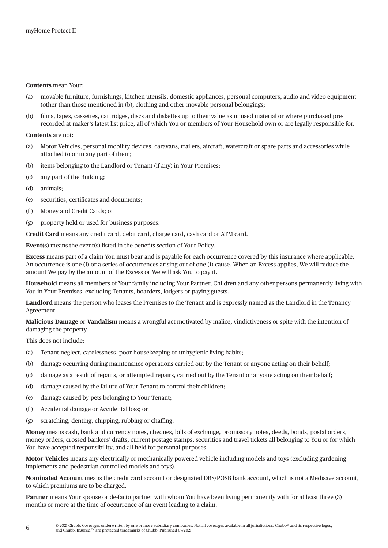#### **Contents** mean Your:

- (a) movable furniture, furnishings, kitchen utensils, domestic appliances, personal computers, audio and video equipment (other than those mentioned in (b), clothing and other movable personal belongings;
- (b) films, tapes, cassettes, cartridges, discs and diskettes up to their value as unused material or where purchased prerecorded at maker's latest list price, all of which You or members of Your Household own or are legally responsible for.

#### **Contents** are not:

- (a) Motor Vehicles, personal mobility devices, caravans, trailers, aircraft, watercraft or spare parts and accessories while attached to or in any part of them;
- (b) items belonging to the Landlord or Tenant (if any) in Your Premises;
- (c) any part of the Building;
- (d) animals;
- (e) securities, certificates and documents;
- (f ) Money and Credit Cards; or
- (g) property held or used for business purposes.

**Credit Card** means any credit card, debit card, charge card, cash card or ATM card.

**Event(s)** means the event(s) listed in the benefits section of Your Policy.

**Excess** means part of a claim You must bear and is payable for each occurrence covered by this insurance where applicable. An occurrence is one (1) or a series of occurrences arising out of one (1) cause. When an Excess applies, We will reduce the amount We pay by the amount of the Excess or We will ask You to pay it.

**Household** means all members of Your family including Your Partner, Children and any other persons permanently living with You in Your Premises, excluding Tenants, boarders, lodgers or paying guests.

**Landlord** means the person who leases the Premises to the Tenant and is expressly named as the Landlord in the Tenancy Agreement.

**Malicious Damage** or **Vandalism** means a wrongful act motivated by malice, vindictiveness or spite with the intention of damaging the property.

This does not include:

- (a) Tenant neglect, carelessness, poor housekeeping or unhygienic living habits;
- (b) damage occurring during maintenance operations carried out by the Tenant or anyone acting on their behalf;
- (c) damage as a result of repairs, or attempted repairs, carried out by the Tenant or anyone acting on their behalf;
- (d) damage caused by the failure of Your Tenant to control their children;
- (e) damage caused by pets belonging to Your Tenant;
- (f ) Accidental damage or Accidental loss; or
- (g) scratching, denting, chipping, rubbing or chaffing.

**Money** means cash, bank and currency notes, cheques, bills of exchange, promissory notes, deeds, bonds, postal orders, money orders, crossed bankers' drafts, current postage stamps, securities and travel tickets all belonging to You or for which You have accepted responsibility, and all held for personal purposes.

**Motor Vehicles** means any electrically or mechanically powered vehicle including models and toys (excluding gardening implements and pedestrian controlled models and toys).

**Nominated Account** means the credit card account or designated DBS/POSB bank account, which is not a Medisave account, to which premiums are to be charged.

**Partner** means Your spouse or de-facto partner with whom You have been living permanently with for at least three (3) months or more at the time of occurrence of an event leading to a claim.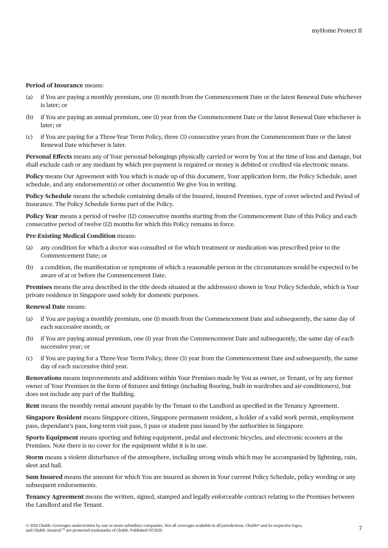### **Period of Insurance** means:

- (a) if You are paying a monthly premium, one (1) month from the Commencement Date or the latest Renewal Date whichever is later; or
- (b) if You are paying an annual premium, one (1) year from the Commencement Date or the latest Renewal Date whichever is later; or
- (c) if You are paying for a Three-Year Term Policy, three (3) consecutive years from the Commencement Date or the latest Renewal Date whichever is later.

**Personal Effects** means any of Your personal belongings physically carried or worn by You at the time of loss and damage, but shall exclude cash or any medium by which pre-payment is required or money is debited or credited via electronic means.

**Policy** means Our Agreement with You which is made up of this document, Your application form, the Policy Schedule, asset schedule, and any endorsement(s) or other document(s) We give You in writing.

**Policy Schedule** means the schedule containing details of the Insured, insured Premises, type of cover selected and Period of Insurance. The Policy Schedule forms part of the Policy.

**Policy Year** means a period of twelve (12) consecutive months starting from the Commencement Date of this Policy and each consecutive period of twelve (12) months for which this Policy remains in force.

#### **Pre-Existing Medical Condition** means:

- (a) any condition for which a doctor was consulted or for which treatment or medication was prescribed prior to the Commencement Date; or
- (b) a condition, the manifestation or symptoms of which a reasonable person in the circumstances would be expected to be aware of at or before the Commencement Date.

**Premises** means the area described in the title deeds situated at the address(es) shown in Your Policy Schedule, which is Your private residence in Singapore used solely for domestic purposes.

#### **Renewal Date** means:

- (a) if You are paying a monthly premium, one (1) month from the Commencement Date and subsequently, the same day of each successive month; or
- (b) if You are paying annual premium, one (1) year from the Commencement Date and subsequently, the same day of each successive year; or
- (c) if You are paying for a Three-Year Term Policy, three (3) year from the Commencement Date and subsequently, the same day of each successive third year.

**Renovations** means improvements and additions within Your Premises made by You as owner, or Tenant, or by any former owner of Your Premises in the form of fixtures and fittings (including flooring, built-in wardrobes and air-conditioners), but does not include any part of the Building.

**Rent** means the monthly rental amount payable by the Tenant to the Landlord as specified in the Tenancy Agreement.

**Singapore Resident** means Singapore citizen, Singapore permanent resident, a holder of a valid work permit, employment pass, dependant's pass, long-term visit pass, S pass or student pass issued by the authorities in Singapore.

**Sports Equipment** means sporting and fishing equipment, pedal and electronic bicycles, and electronic scooters at the Premises. Note there is no cover for the equipment whilst it is in use.

**Storm** means a violent disturbance of the atmosphere, including strong winds which may be accompanied by lightning, rain, sleet and hail.

**Sum Insured** means the amount for which You are insured as shown in Your current Policy Schedule, policy wording or any subsequent endorsements.

**Tenancy Agreement** means the written, signed, stamped and legally enforceable contract relating to the Premises between the Landlord and the Tenant.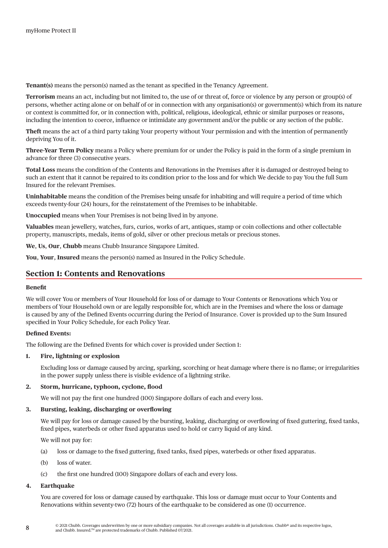**Tenant(s)** means the person(s) named as the tenant as specified in the Tenancy Agreement.

**Terrorism** means an act, including but not limited to, the use of or threat of, force or violence by any person or group(s) of persons, whether acting alone or on behalf of or in connection with any organisation(s) or government(s) which from its nature or context is committed for, or in connection with, political, religious, ideological, ethnic or similar purposes or reasons, including the intention to coerce, influence or intimidate any government and/or the public or any section of the public.

**Theft** means the act of a third party taking Your property without Your permission and with the intention of permanently depriving You of it.

**Three-Year Term Policy** means a Policy where premium for or under the Policy is paid in the form of a single premium in advance for three (3) consecutive years.

**Total Loss** means the condition of the Contents and Renovations in the Premises after it is damaged or destroyed being to such an extent that it cannot be repaired to its condition prior to the loss and for which We decide to pay You the full Sum Insured for the relevant Premises.

**Uninhabitable** means the condition of the Premises being unsafe for inhabiting and will require a period of time which exceeds twenty-four (24) hours, for the reinstatement of the Premises to be inhabitable.

**Unoccupied** means when Your Premises is not being lived in by anyone.

**Valuables** mean jewellery, watches, furs, curios, works of art, antiques, stamp or coin collections and other collectable property, manuscripts, medals, items of gold, silver or other precious metals or precious stones.

**We**, **Us**, **Our**, **Chubb** means Chubb Insurance Singapore Limited.

**You**, **Your**, **Insured** means the person(s) named as Insured in the Policy Schedule.

# **Section 1: Contents and Renovations**

#### **Benefit**

We will cover You or members of Your Household for loss of or damage to Your Contents or Renovations which You or members of Your Household own or are legally responsible for, which are in the Premises and where the loss or damage is caused by any of the Defined Events occurring during the Period of Insurance. Cover is provided up to the Sum Insured specified in Your Policy Schedule, for each Policy Year.

# **Defined Events:**

The following are the Defined Events for which cover is provided under Section 1:

# **1. Fire, lightning or explosion**

Excluding loss or damage caused by arcing, sparking, scorching or heat damage where there is no flame; or irregularities in the power supply unless there is visible evidence of a lightning strike.

# **2. Storm, hurricane, typhoon, cyclone, flood**

We will not pay the first one hundred (100) Singapore dollars of each and every loss.

## **3. Bursting, leaking, discharging or overflowing**

We will pay for loss or damage caused by the bursting, leaking, discharging or overflowing of fixed guttering, fixed tanks, fixed pipes, waterbeds or other fixed apparatus used to hold or carry liquid of any kind.

We will not pay for:

- (a) loss or damage to the fixed guttering, fixed tanks, fixed pipes, waterbeds or other fixed apparatus.
- (b) loss of water.
- (c) the first one hundred (100) Singapore dollars of each and every loss.

#### **4. Earthquake**

You are covered for loss or damage caused by earthquake. This loss or damage must occur to Your Contents and Renovations within seventy-two (72) hours of the earthquake to be considered as one (1) occurrence.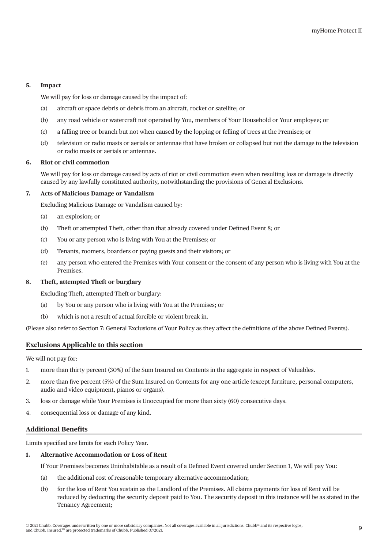# **5. Impact**

We will pay for loss or damage caused by the impact of:

- (a) aircraft or space debris or debris from an aircraft, rocket or satellite; or
- (b) any road vehicle or watercraft not operated by You, members of Your Household or Your employee; or
- (c) a falling tree or branch but not when caused by the lopping or felling of trees at the Premises; or
- (d) television or radio masts or aerials or antennae that have broken or collapsed but not the damage to the television or radio masts or aerials or antennae.

### **6. Riot or civil commotion**

We will pay for loss or damage caused by acts of riot or civil commotion even when resulting loss or damage is directly caused by any lawfully constituted authority, notwithstanding the provisions of General Exclusions.

### **7. Acts of Malicious Damage or Vandalism**

Excluding Malicious Damage or Vandalism caused by:

- (a) an explosion; or
- (b) Theft or attempted Theft, other than that already covered under Defined Event 8; or
- (c) You or any person who is living with You at the Premises; or
- (d) Tenants, roomers, boarders or paying guests and their visitors; or
- (e) any person who entered the Premises with Your consent or the consent of any person who is living with You at the Premises.

## **8. Theft, attempted Theft or burglary**

Excluding Theft, attempted Theft or burglary:

- (a) by You or any person who is living with You at the Premises; or
- (b) which is not a result of actual forcible or violent break in.

(Please also refer to Section 7: General Exclusions of Your Policy as they affect the definitions of the above Defined Events).

# **Exclusions Applicable to this section**

We will not pay for:

- 1. more than thirty percent (30%) of the Sum Insured on Contents in the aggregate in respect of Valuables.
- 2. more than five percent (5%) of the Sum Insured on Contents for any one article (except furniture, personal computers, audio and video equipment, pianos or organs).
- 3. loss or damage while Your Premises is Unoccupied for more than sixty (60) consecutive days.
- 4. consequential loss or damage of any kind.

# **Additional Benefits**

Limits specified are limits for each Policy Year.

### **1. Alternative Accommodation or Loss of Rent**

If Your Premises becomes Uninhabitable as a result of a Defined Event covered under Section 1, We will pay You:

- (a) the additional cost of reasonable temporary alternative accommodation;
- (b) for the loss of Rent You sustain as the Landlord of the Premises. All claims payments for loss of Rent will be reduced by deducting the security deposit paid to You. The security deposit in this instance will be as stated in the Tenancy Agreement;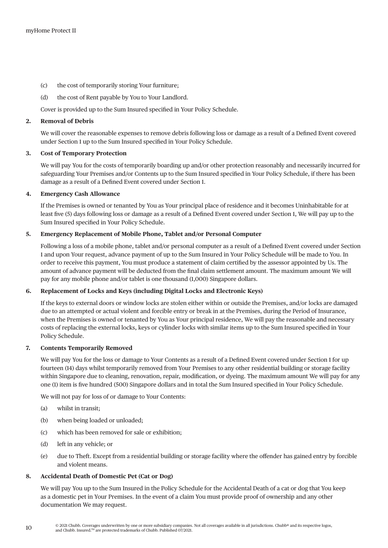- (c) the cost of temporarily storing Your furniture;
- (d) the cost of Rent payable by You to Your Landlord.

Cover is provided up to the Sum Insured specified in Your Policy Schedule.

### **2. Removal of Debris**

We will cover the reasonable expenses to remove debris following loss or damage as a result of a Defined Event covered under Section 1 up to the Sum Insured specified in Your Policy Schedule.

# **3. Cost of Temporary Protection**

We will pay You for the costs of temporarily boarding up and/or other protection reasonably and necessarily incurred for safeguarding Your Premises and/or Contents up to the Sum Insured specified in Your Policy Schedule, if there has been damage as a result of a Defined Event covered under Section 1.

### **4. Emergency Cash Allowance**

If the Premises is owned or tenanted by You as Your principal place of residence and it becomes Uninhabitable for at least five (5) days following loss or damage as a result of a Defined Event covered under Section 1, We will pay up to the Sum Insured specified in Your Policy Schedule.

### **5. Emergency Replacement of Mobile Phone, Tablet and/or Personal Computer**

Following a loss of a mobile phone, tablet and/or personal computer as a result of a Defined Event covered under Section 1 and upon Your request, advance payment of up to the Sum Insured in Your Policy Schedule will be made to You. In order to receive this payment, You must produce a statement of claim certified by the assessor appointed by Us. The amount of advance payment will be deducted from the final claim settlement amount. The maximum amount We will pay for any mobile phone and/or tablet is one thousand (1,000) Singapore dollars.

# **6. Replacement of Locks and Keys (including Digital Locks and Electronic Keys)**

If the keys to external doors or window locks are stolen either within or outside the Premises, and/or locks are damaged due to an attempted or actual violent and forcible entry or break in at the Premises, during the Period of Insurance, when the Premises is owned or tenanted by You as Your principal residence, We will pay the reasonable and necessary costs of replacing the external locks, keys or cylinder locks with similar items up to the Sum Insured specified in Your Policy Schedule.

# **7. Contents Temporarily Removed**

We will pay You for the loss or damage to Your Contents as a result of a Defined Event covered under Section 1 for up fourteen (14) days whilst temporarily removed from Your Premises to any other residential building or storage facility within Singapore due to cleaning, renovation, repair, modification, or dyeing. The maximum amount We will pay for any one (1) item is five hundred (500) Singapore dollars and in total the Sum Insured specified in Your Policy Schedule.

We will not pay for loss of or damage to Your Contents:

- (a) whilst in transit;
- (b) when being loaded or unloaded;
- (c) which has been removed for sale or exhibition;
- (d) left in any vehicle; or
- (e) due to Theft. Except from a residential building or storage facility where the offender has gained entry by forcible and violent means.

# **8. Accidental Death of Domestic Pet (Cat or Dog)**

We will pay You up to the Sum Insured in the Policy Schedule for the Accidental Death of a cat or dog that You keep as a domestic pet in Your Premises. In the event of a claim You must provide proof of ownership and any other documentation We may request.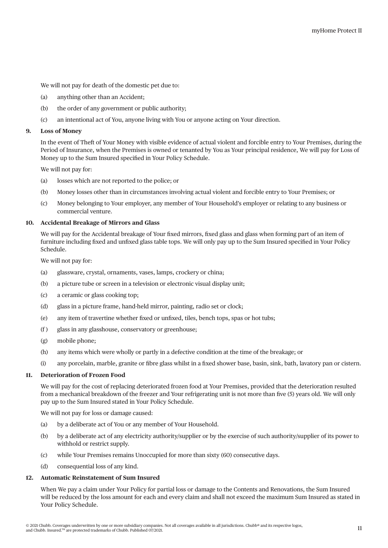We will not pay for death of the domestic pet due to:

- (a) anything other than an Accident;
- (b) the order of any government or public authority;
- (c) an intentional act of You, anyone living with You or anyone acting on Your direction.

#### **9. Loss of Money**

In the event of Theft of Your Money with visible evidence of actual violent and forcible entry to Your Premises, during the Period of Insurance, when the Premises is owned or tenanted by You as Your principal residence, We will pay for Loss of Money up to the Sum Insured specified in Your Policy Schedule.

We will not pay for:

- (a) losses which are not reported to the police; or
- (b) Money losses other than in circumstances involving actual violent and forcible entry to Your Premises; or
- (c) Money belonging to Your employer, any member of Your Household's employer or relating to any business or commercial venture.

### **10. Accidental Breakage of Mirrors and Glass**

We will pay for the Accidental breakage of Your fixed mirrors, fixed glass and glass when forming part of an item of furniture including fixed and unfixed glass table tops. We will only pay up to the Sum Insured specified in Your Policy Schedule.

We will not pay for:

- (a) glassware, crystal, ornaments, vases, lamps, crockery or china;
- (b) a picture tube or screen in a television or electronic visual display unit;
- (c) a ceramic or glass cooking top;
- (d) glass in a picture frame, hand-held mirror, painting, radio set or clock;
- (e) any item of travertine whether fixed or unfixed, tiles, bench tops, spas or hot tubs;
- (f ) glass in any glasshouse, conservatory or greenhouse;
- (g) mobile phone;
- (h) any items which were wholly or partly in a defective condition at the time of the breakage; or
- (i) any porcelain, marble, granite or fibre glass whilst in a fixed shower base, basin, sink, bath, lavatory pan or cistern.

# **11. Deterioration of Frozen Food**

We will pay for the cost of replacing deteriorated frozen food at Your Premises, provided that the deterioration resulted from a mechanical breakdown of the freezer and Your refrigerating unit is not more than five (5) years old. We will only pay up to the Sum Insured stated in Your Policy Schedule.

We will not pay for loss or damage caused:

- (a) by a deliberate act of You or any member of Your Household.
- (b) by a deliberate act of any electricity authority/supplier or by the exercise of such authority/supplier of its power to withhold or restrict supply.
- (c) while Your Premises remains Unoccupied for more than sixty (60) consecutive days.
- (d) consequential loss of any kind.

#### **12. Automatic Reinstatement of Sum Insured**

When We pay a claim under Your Policy for partial loss or damage to the Contents and Renovations, the Sum Insured will be reduced by the loss amount for each and every claim and shall not exceed the maximum Sum Insured as stated in Your Policy Schedule.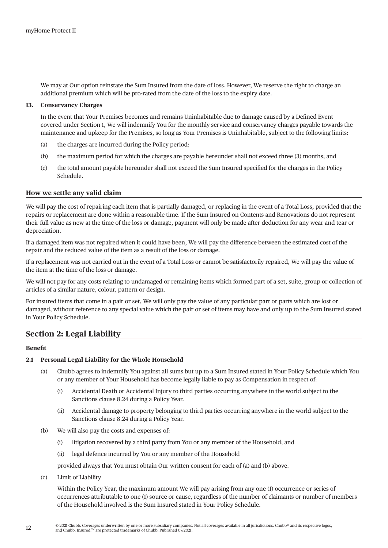We may at Our option reinstate the Sum Insured from the date of loss. However, We reserve the right to charge an additional premium which will be pro-rated from the date of the loss to the expiry date.

#### **13. Conservancy Charges**

In the event that Your Premises becomes and remains Uninhabitable due to damage caused by a Defined Event covered under Section 1, We will indemnify You for the monthly service and conservancy charges payable towards the maintenance and upkeep for the Premises, so long as Your Premises is Uninhabitable, subject to the following limits:

- (a) the charges are incurred during the Policy period;
- (b) the maximum period for which the charges are payable hereunder shall not exceed three (3) months; and
- (c) the total amount payable hereunder shall not exceed the Sum Insured specified for the charges in the Policy Schedule.

### **How we settle any valid claim**

We will pay the cost of repairing each item that is partially damaged, or replacing in the event of a Total Loss, provided that the repairs or replacement are done within a reasonable time. If the Sum Insured on Contents and Renovations do not represent their full value as new at the time of the loss or damage, payment will only be made after deduction for any wear and tear or depreciation.

If a damaged item was not repaired when it could have been, We will pay the difference between the estimated cost of the repair and the reduced value of the item as a result of the loss or damage.

If a replacement was not carried out in the event of a Total Loss or cannot be satisfactorily repaired, We will pay the value of the item at the time of the loss or damage.

We will not pay for any costs relating to undamaged or remaining items which formed part of a set, suite, group or collection of articles of a similar nature, colour, pattern or design.

For insured items that come in a pair or set, We will only pay the value of any particular part or parts which are lost or damaged, without reference to any special value which the pair or set of items may have and only up to the Sum Insured stated in Your Policy Schedule.

# **Section 2: Legal Liability**

#### **Benefit**

# **2.1 Personal Legal Liability for the Whole Household**

- (a) Chubb agrees to indemnify You against all sums but up to a Sum Insured stated in Your Policy Schedule which You or any member of Your Household has become legally liable to pay as Compensation in respect of:
	- (i) Accidental Death or Accidental Injury to third parties occurring anywhere in the world subject to the Sanctions clause 8.24 during a Policy Year.
	- (ii) Accidental damage to property belonging to third parties occurring anywhere in the world subject to the Sanctions clause 8.24 during a Policy Year.
- (b) We will also pay the costs and expenses of:
	- (i) litigation recovered by a third party from You or any member of the Household; and
	- (ii) legal defence incurred by You or any member of the Household

provided always that You must obtain Our written consent for each of (a) and (b) above.

(c) Limit of Liability

Within the Policy Year, the maximum amount We will pay arising from any one (1) occurrence or series of occurrences attributable to one (1) source or cause, regardless of the number of claimants or number of members of the Household involved is the Sum Insured stated in Your Policy Schedule.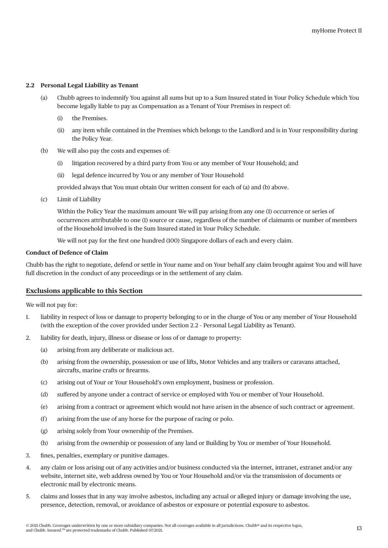### **2.2 Personal Legal Liability as Tenant**

- (a) Chubb agrees to indemnify You against all sums but up to a Sum Insured stated in Your Policy Schedule which You become legally liable to pay as Compensation as a Tenant of Your Premises in respect of:
	- (i) the Premises.
	- (ii) any item while contained in the Premises which belongs to the Landlord and is in Your responsibility during the Policy Year.
- (b) We will also pay the costs and expenses of:
	- (i) litigation recovered by a third party from You or any member of Your Household; and
	- (ii) legal defence incurred by You or any member of Your Household

provided always that You must obtain Our written consent for each of (a) and (b) above.

(c) Limit of Liability

Within the Policy Year the maximum amount We will pay arising from any one (1) occurrence or series of occurrences attributable to one (1) source or cause, regardless of the number of claimants or number of members of the Household involved is the Sum Insured stated in Your Policy Schedule.

We will not pay for the first one hundred (100) Singapore dollars of each and every claim.

# **Conduct of Defence of Claim**

Chubb has the right to negotiate, defend or settle in Your name and on Your behalf any claim brought against You and will have full discretion in the conduct of any proceedings or in the settlement of any claim.

#### **Exclusions applicable to this Section**

We will not pay for:

- 1. liability in respect of loss or damage to property belonging to or in the charge of You or any member of Your Household (with the exception of the cover provided under Section 2.2 – Personal Legal Liability as Tenant).
- 2. liability for death, injury, illness or disease or loss of or damage to property:
	- (a) arising from any deliberate or malicious act.
	- (b) arising from the ownership, possession or use of lifts, Motor Vehicles and any trailers or caravans attached, aircrafts, marine crafts or firearms.
	- (c) arising out of Your or Your Household's own employment, business or profession.
	- (d) suffered by anyone under a contract of service or employed with You or member of Your Household.
	- (e) arising from a contract or agreement which would not have arisen in the absence of such contract or agreement.
	- (f) arising from the use of any horse for the purpose of racing or polo.
	- (g) arising solely from Your ownership of the Premises.
	- (h) arising from the ownership or possession of any land or Building by You or member of Your Household.
- 3. fines, penalties, exemplary or punitive damages.
- 4. any claim or loss arising out of any activities and/or business conducted via the internet, intranet, extranet and/or any website, internet site, web address owned by You or Your Household and/or via the transmission of documents or electronic mail by electronic means.
- 5. claims and losses that in any way involve asbestos, including any actual or alleged injury or damage involving the use, presence, detection, removal, or avoidance of asbestos or exposure or potential exposure to asbestos.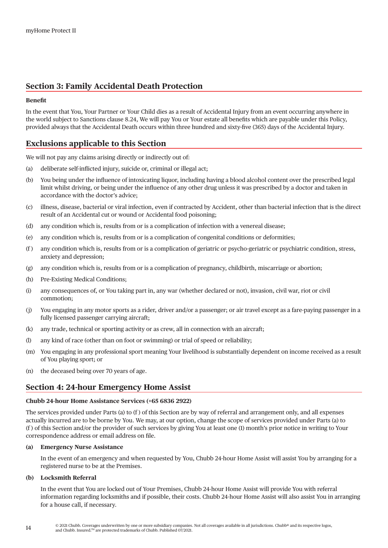# **Section 3: Family Accidental Death Protection**

## **Benefit**

In the event that You, Your Partner or Your Child dies as a result of Accidental Injury from an event occurring anywhere in the world subject to Sanctions clause 8.24, We will pay You or Your estate all benefits which are payable under this Policy, provided always that the Accidental Death occurs within three hundred and sixty-five (365) days of the Accidental Injury.

# **Exclusions applicable to this Section**

We will not pay any claims arising directly or indirectly out of:

- (a) deliberate self-inflicted injury, suicide or, criminal or illegal act;
- (b) You being under the influence of intoxicating liquor, including having a blood alcohol content over the prescribed legal limit whilst driving, or being under the influence of any other drug unless it was prescribed by a doctor and taken in accordance with the doctor's advice;
- (c) illness, disease, bacterial or viral infection, even if contracted by Accident, other than bacterial infection that is the direct result of an Accidental cut or wound or Accidental food poisoning;
- (d) any condition which is, results from or is a complication of infection with a venereal disease;
- (e) any condition which is, results from or is a complication of congenital conditions or deformities;
- (f ) any condition which is, results from or is a complication of geriatric or psycho-geriatric or psychiatric condition, stress, anxiety and depression;
- (g) any condition which is, results from or is a complication of pregnancy, childbirth, miscarriage or abortion;
- (h) Pre-Existing Medical Conditions;
- (i) any consequences of, or You taking part in, any war (whether declared or not), invasion, civil war, riot or civil commotion;
- (j) You engaging in any motor sports as a rider, driver and/or a passenger; or air travel except as a fare-paying passenger in a fully licensed passenger carrying aircraft;
- (k) any trade, technical or sporting activity or as crew, all in connection with an aircraft;
- (l) any kind of race (other than on foot or swimming) or trial of speed or reliability;
- (m) You engaging in any professional sport meaning Your livelihood is substantially dependent on income received as a result of You playing sport; or
- (n) the deceased being over 70 years of age.

# **Section 4: 24-hour Emergency Home Assist**

#### **Chubb 24-hour Home Assistance Services (+65 6836 2922)**

The services provided under Parts (a) to  $(f)$  of this Section are by way of referral and arrangement only, and all expenses actually incurred are to be borne by You. We may, at our option, change the scope of services provided under Parts (a) to (f ) of this Section and/or the provider of such services by giving You at least one (1) month's prior notice in writing to Your correspondence address or email address on file.

#### **(a) Emergency Nurse Assistance**

In the event of an emergency and when requested by You, Chubb 24-hour Home Assist will assist You by arranging for a registered nurse to be at the Premises.

#### **(b) Locksmith Referral**

In the event that You are locked out of Your Premises, Chubb 24-hour Home Assist will provide You with referral information regarding locksmiths and if possible, their costs. Chubb 24-hour Home Assist will also assist You in arranging for a house call, if necessary.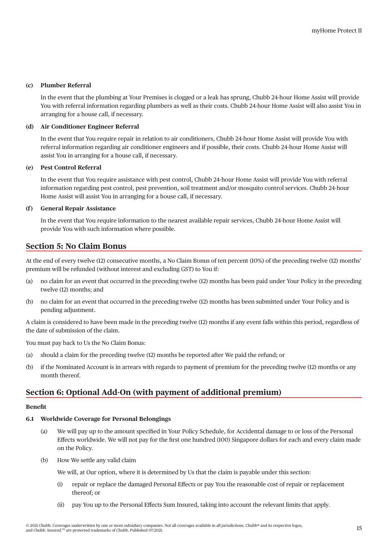# **(c) Plumber Referral**

In the event that the plumbing at Your Premises is clogged or a leak has sprung, Chubb 24-hour Home Assist will provide You with referral information regarding plumbers as well as their costs. Chubb 24-hour Home Assist will also assist You in arranging for a house call, if necessary.

# **(d) Air Conditioner Engineer Referral**

In the event that You require repair in relation to air conditioners, Chubb 24-hour Home Assist will provide You with referral information regarding air conditioner engineers and if possible, their costs. Chubb 24-hour Home Assist will assist You in arranging for a house call, if necessary.

#### **(e) Pest Control Referral**

In the event that You require assistance with pest control, Chubb 24-hour Home Assist will provide You with referral information regarding pest control, pest prevention, soil treatment and/or mosquito control services. Chubb 24-hour Home Assist will assist You in arranging for a house call, if necessary.

### **(f) General Repair Assistance**

In the event that You require information to the nearest available repair services, Chubb 24-hour Home Assist will provide You with such information where possible.

# **Section 5: No Claim Bonus**

At the end of every twelve (12) consecutive months, a No Claim Bonus of ten percent (10%) of the preceding twelve (12) months' premium will be refunded (without interest and excluding GST) to You if:

- (a) no claim for an event that occurred in the preceding twelve (12) months has been paid under Your Policy in the preceding twelve (12) months; and
- (b) no claim for an event that occurred in the preceding twelve (12) months has been submitted under Your Policy and is pending adjustment.

A claim is considered to have been made in the preceding twelve (12) months if any event falls within this period, regardless of the date of submission of the claim.

You must pay back to Us the No Claim Bonus:

- (a) should a claim for the preceding twelve (12) months be reported after We paid the refund; or
- (b) if the Nominated Account is in arrears with regards to payment of premium for the preceding twelve (12) months or any month thereof.

# **Section 6: Optional Add-On (with payment of additional premium)**

# **Benefit**

# **6.1 Worldwide Coverage for Personal Belongings**

- (a) We will pay up to the amount specified in Your Policy Schedule, for Accidental damage to or loss of the Personal Effects worldwide. We will not pay for the first one hundred (100) Singapore dollars for each and every claim made on the Policy.
- (b) How We settle any valid claim

We will, at Our option, where it is determined by Us that the claim is payable under this section:

- (i) repair or replace the damaged Personal Effects or pay You the reasonable cost of repair or replacement thereof; or
- (ii) pay You up to the Personal Effects Sum Insured, taking into account the relevant limits that apply.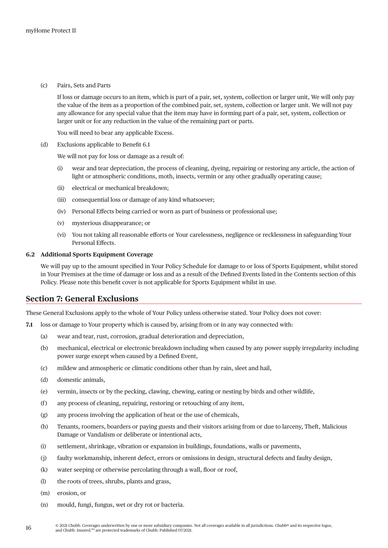(c) Pairs, Sets and Parts

If loss or damage occurs to an item, which is part of a pair, set, system, collection or larger unit, We will only pay the value of the item as a proportion of the combined pair, set, system, collection or larger unit. We will not pay any allowance for any special value that the item may have in forming part of a pair, set, system, collection or larger unit or for any reduction in the value of the remaining part or parts.

You will need to bear any applicable Excess.

(d) Exclusions applicable to Benefit 6.1

We will not pay for loss or damage as a result of:

- (i) wear and tear depreciation, the process of cleaning, dyeing, repairing or restoring any article, the action of light or atmospheric conditions, moth, insects, vermin or any other gradually operating cause;
- (ii) electrical or mechanical breakdown;
- (iii) consequential loss or damage of any kind whatsoever;
- (iv) Personal Effects being carried or worn as part of business or professional use;
- (v) mysterious disappearance; or
- (vi) You not taking all reasonable efforts or Your carelessness, negligence or recklessness in safeguarding Your Personal Effects.

# **6.2 Additional Sports Equipment Coverage**

We will pay up to the amount specified in Your Policy Schedule for damage to or loss of Sports Equipment, whilst stored in Your Premises at the time of damage or loss and as a result of the Defined Events listed in the Contents section of this Policy. Please note this benefit cover is not applicable for Sports Equipment whilst in use.

# **Section 7: General Exclusions**

These General Exclusions apply to the whole of Your Policy unless otherwise stated. Your Policy does not cover:

- **7.1** loss or damage to Your property which is caused by, arising from or in any way connected with:
	- (a) wear and tear, rust, corrosion, gradual deterioration and depreciation,
	- (b) mechanical, electrical or electronic breakdown including when caused by any power supply irregularity including power surge except when caused by a Defined Event,
	- (c) mildew and atmospheric or climatic conditions other than by rain, sleet and hail,
	- (d) domestic animals,
	- (e) vermin, insects or by the pecking, clawing, chewing, eating or nesting by birds and other wildlife,
	- (f ) any process of cleaning, repairing, restoring or retouching of any item,
	- (g) any process involving the application of heat or the use of chemicals,
	- (h) Tenants, roomers, boarders or paying guests and their visitors arising from or due to larceny, Theft, Malicious Damage or Vandalism or deliberate or intentional acts,
	- (i) settlement, shrinkage, vibration or expansion in buildings, foundations, walls or pavements,
	- (j) faulty workmanship, inherent defect, errors or omissions in design, structural defects and faulty design,
	- (k) water seeping or otherwise percolating through a wall, floor or roof,
	- (l) the roots of trees, shrubs, plants and grass,
	- (m) erosion, or
	- (n) mould, fungi, fungus, wet or dry rot or bacteria.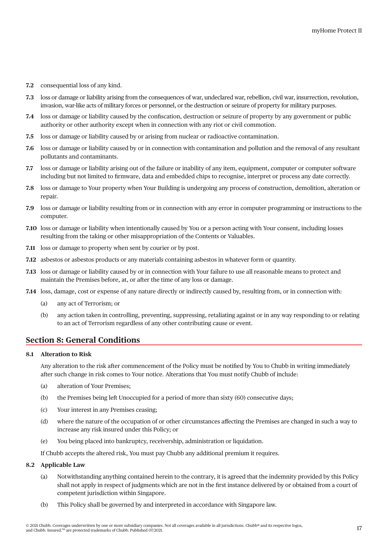- **7.2** consequential loss of any kind.
- **7.3** loss or damage or liability arising from the consequences of war, undeclared war, rebellion, civil war, insurrection, revolution, invasion, war-like acts of military forces or personnel, or the destruction or seizure of property for military purposes.
- **7.4** loss or damage or liability caused by the confiscation, destruction or seizure of property by any government or public authority or other authority except when in connection with any riot or civil commotion.
- **7.5** loss or damage or liability caused by or arising from nuclear or radioactive contamination.
- **7.6** loss or damage or liability caused by or in connection with contamination and pollution and the removal of any resultant pollutants and contaminants.
- **7.7** loss or damage or liability arising out of the failure or inability of any item, equipment, computer or computer software including but not limited to firmware, data and embedded chips to recognise, interpret or process any date correctly.
- **7.8** loss or damage to Your property when Your Building is undergoing any process of construction, demolition, alteration or repair.
- **7.9** loss or damage or liability resulting from or in connection with any error in computer programming or instructions to the computer.
- **7.10** loss or damage or liability when intentionally caused by You or a person acting with Your consent, including losses resulting from the taking or other misappropriation of the Contents or Valuables.
- **7.11** loss or damage to property when sent by courier or by post.
- **7.12** asbestos or asbestos products or any materials containing asbestos in whatever form or quantity.
- **7.13** loss or damage or liability caused by or in connection with Your failure to use all reasonable means to protect and maintain the Premises before, at, or after the time of any loss or damage.
- **7.14** loss, damage, cost or expense of any nature directly or indirectly caused by, resulting from, or in connection with:
	- (a) any act of Terrorism; or
	- (b) any action taken in controlling, preventing, suppressing, retaliating against or in any way responding to or relating to an act of Terrorism regardless of any other contributing cause or event.

# **Section 8: General Conditions**

#### **8.1 Alteration to Risk**

Any alteration to the risk after commencement of the Policy must be notified by You to Chubb in writing immediately after such change in risk comes to Your notice. Alterations that You must notify Chubb of include:

- (a) alteration of Your Premises;
- (b) the Premises being left Unoccupied for a period of more than sixty (60) consecutive days;
- (c) Your interest in any Premises ceasing;
- (d) where the nature of the occupation of or other circumstances affecting the Premises are changed in such a way to increase any risk insured under this Policy; or
- (e) You being placed into bankruptcy, receivership, administration or liquidation.

If Chubb accepts the altered risk, You must pay Chubb any additional premium it requires.

#### **8.2 Applicable Law**

- (a) Notwithstanding anything contained herein to the contrary, it is agreed that the indemnity provided by this Policy shall not apply in respect of judgments which are not in the first instance delivered by or obtained from a court of competent jurisdiction within Singapore.
- (b) This Policy shall be governed by and interpreted in accordance with Singapore law.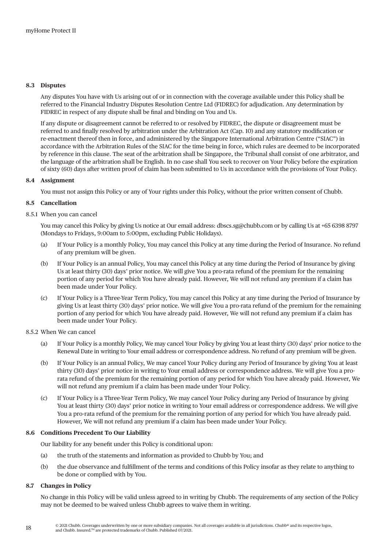### **8.3 Disputes**

Any disputes You have with Us arising out of or in connection with the coverage available under this Policy shall be referred to the Financial Industry Disputes Resolution Centre Ltd (FIDREC) for adjudication. Any determination by FIDREC in respect of any dispute shall be final and binding on You and Us.

If any dispute or disagreement cannot be referred to or resolved by FIDREC, the dispute or disagreement must be referred to and finally resolved by arbitration under the Arbitration Act (Cap. 10) and any statutory modification or re-enactment thereof then in force, and administered by the Singapore International Arbitration Centre ("SIAC") in accordance with the Arbitration Rules of the SIAC for the time being in force, which rules are deemed to be incorporated by reference in this clause. The seat of the arbitration shall be Singapore, the Tribunal shall consist of one arbitrator, and the language of the arbitration shall be English. In no case shall You seek to recover on Your Policy before the expiration of sixty (60) days after written proof of claim has been submitted to Us in accordance with the provisions of Your Policy.

### **8.4 Assignment**

You must not assign this Policy or any of Your rights under this Policy, without the prior written consent of Chubb.

## **8.5 Cancellation**

### 8.5.1 When you can cancel

You may cancel this Policy by giving Us notice at Our email address: dbscs.sg@chubb.com or by calling Us at +65 6398 8797 (Mondays to Fridays, 9:00am to 5:00pm, excluding Public Holidays).

- (a) If Your Policy is a monthly Policy, You may cancel this Policy at any time during the Period of Insurance. No refund of any premium will be given.
- (b) If Your Policy is an annual Policy, You may cancel this Policy at any time during the Period of Insurance by giving Us at least thirty (30) days' prior notice. We will give You a pro-rata refund of the premium for the remaining portion of any period for which You have already paid. However, We will not refund any premium if a claim has been made under Your Policy.
- (c) If Your Policy is a Three-Year Term Policy, You may cancel this Policy at any time during the Period of Insurance by giving Us at least thirty (30) days' prior notice. We will give You a pro-rata refund of the premium for the remaining portion of any period for which You have already paid. However, We will not refund any premium if a claim has been made under Your Policy.

#### 8.5.2 When We can cancel

- (a) If Your Policy is a monthly Policy, We may cancel Your Policy by giving You at least thirty (30) days' prior notice to the Renewal Date in writing to Your email address or correspondence address. No refund of any premium will be given.
- (b) If Your Policy is an annual Policy, We may cancel Your Policy during any Period of Insurance by giving You at least thirty (30) days' prior notice in writing to Your email address or correspondence address. We will give You a prorata refund of the premium for the remaining portion of any period for which You have already paid. However, We will not refund any premium if a claim has been made under Your Policy.
- (c) If Your Policy is a Three-Year Term Policy, We may cancel Your Policy during any Period of Insurance by giving You at least thirty (30) days' prior notice in writing to Your email address or correspondence address. We will give You a pro-rata refund of the premium for the remaining portion of any period for which You have already paid. However, We will not refund any premium if a claim has been made under Your Policy.

#### **8.6 Conditions Precedent To Our Liability**

Our liability for any benefit under this Policy is conditional upon:

- (a) the truth of the statements and information as provided to Chubb by You; and
- (b) the due observance and fulfillment of the terms and conditions of this Policy insofar as they relate to anything to be done or complied with by You.

#### **8.7 Changes in Policy**

No change in this Policy will be valid unless agreed to in writing by Chubb. The requirements of any section of the Policy may not be deemed to be waived unless Chubb agrees to waive them in writing.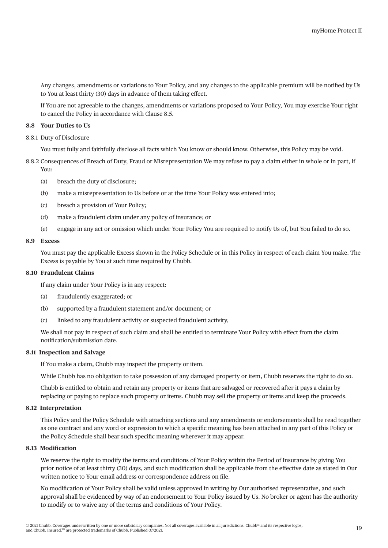Any changes, amendments or variations to Your Policy, and any changes to the applicable premium will be notified by Us to You at least thirty (30) days in advance of them taking effect.

If You are not agreeable to the changes, amendments or variations proposed to Your Policy, You may exercise Your right to cancel the Policy in accordance with Clause 8.5.

#### **8.8 Your Duties to Us**

8.8.1 Duty of Disclosure

You must fully and faithfully disclose all facts which You know or should know. Otherwise, this Policy may be void.

- 8.8.2 Consequences of Breach of Duty, Fraud or Misrepresentation We may refuse to pay a claim either in whole or in part, if You:
	- (a) breach the duty of disclosure;
	- (b) make a misrepresentation to Us before or at the time Your Policy was entered into;
	- (c) breach a provision of Your Policy;
	- (d) make a fraudulent claim under any policy of insurance; or
	- (e) engage in any act or omission which under Your Policy You are required to notify Us of, but You failed to do so.

#### **8.9 Excess**

You must pay the applicable Excess shown in the Policy Schedule or in this Policy in respect of each claim You make. The Excess is payable by You at such time required by Chubb.

#### **8.10 Fraudulent Claims**

If any claim under Your Policy is in any respect:

- (a) fraudulently exaggerated; or
- (b) supported by a fraudulent statement and/or document; or
- (c) linked to any fraudulent activity or suspected fraudulent activity,

We shall not pay in respect of such claim and shall be entitled to terminate Your Policy with effect from the claim notification/submission date.

### **8.11 Inspection and Salvage**

If You make a claim, Chubb may inspect the property or item.

While Chubb has no obligation to take possession of any damaged property or item, Chubb reserves the right to do so.

Chubb is entitled to obtain and retain any property or items that are salvaged or recovered after it pays a claim by replacing or paying to replace such property or items. Chubb may sell the property or items and keep the proceeds.

#### **8.12 Interpretation**

This Policy and the Policy Schedule with attaching sections and any amendments or endorsements shall be read together as one contract and any word or expression to which a specific meaning has been attached in any part of this Policy or the Policy Schedule shall bear such specific meaning wherever it may appear.

#### **8.13 Modification**

We reserve the right to modify the terms and conditions of Your Policy within the Period of Insurance by giving You prior notice of at least thirty (30) days, and such modification shall be applicable from the effective date as stated in Our written notice to Your email address or correspondence address on file.

No modification of Your Policy shall be valid unless approved in writing by Our authorised representative, and such approval shall be evidenced by way of an endorsement to Your Policy issued by Us. No broker or agent has the authority to modify or to waive any of the terms and conditions of Your Policy.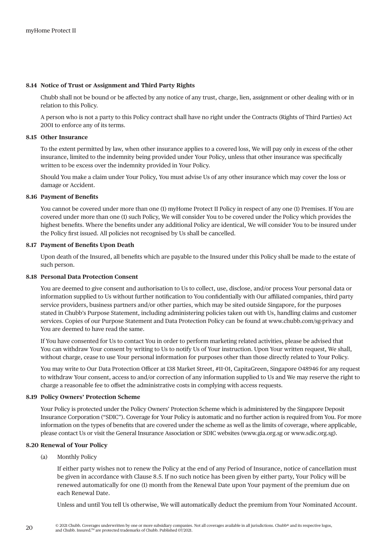#### **8.14 Notice of Trust or Assignment and Third Party Rights**

Chubb shall not be bound or be affected by any notice of any trust, charge, lien, assignment or other dealing with or in relation to this Policy.

A person who is not a party to this Policy contract shall have no right under the Contracts (Rights of Third Parties) Act 2001 to enforce any of its terms.

#### **8.15 Other Insurance**

To the extent permitted by law, when other insurance applies to a covered loss, We will pay only in excess of the other insurance, limited to the indemnity being provided under Your Policy, unless that other insurance was specifically written to be excess over the indemnity provided in Your Policy.

Should You make a claim under Your Policy, You must advise Us of any other insurance which may cover the loss or damage or Accident.

#### **8.16 Payment of Benefits**

You cannot be covered under more than one (1) myHome Protect II Policy in respect of any one (1) Premises. If You are covered under more than one (1) such Policy, We will consider You to be covered under the Policy which provides the highest benefits. Where the benefits under any additional Policy are identical, We will consider You to be insured under the Policy first issued. All policies not recognised by Us shall be cancelled.

## **8.17 Payment of Benefits Upon Death**

Upon death of the Insured, all benefits which are payable to the Insured under this Policy shall be made to the estate of such person.

## **8.18 Personal Data Protection Consent**

You are deemed to give consent and authorisation to Us to collect, use, disclose, and/or process Your personal data or information supplied to Us without further notification to You confidentially with Our affiliated companies, third party service providers, business partners and/or other parties, which may be sited outside Singapore, for the purposes stated in Chubb's Purpose Statement, including administering policies taken out with Us, handling claims and customer services. Copies of our Purpose Statement and Data Protection Policy can be found at [www.chubb.com/sg-privacy](http://www.chubb.com/sg-privacy) and You are deemed to have read the same.

If You have consented for Us to contact You in order to perform marketing related activities, please be advised that You can withdraw Your consent by writing to Us to notify Us of Your instruction. Upon Your written request, We shall, without charge, cease to use Your personal information for purposes other than those directly related to Your Policy.

You may write to Our Data Protection Officer at 138 Market Street, #11-01, CapitaGreen, Singapore 048946 for any request to withdraw Your consent, access to and/or correction of any information supplied to Us and We may reserve the right to charge a reasonable fee to offset the administrative costs in complying with access requests.

#### **8.19 Policy Owners' Protection Scheme**

Your Policy is protected under the Policy Owners' Protection Scheme which is administered by the Singapore Deposit Insurance Corporation ("SDIC"). Coverage for Your Policy is automatic and no further action is required from You. For more information on the types of benefits that are covered under the scheme as well as the limits of coverage, where applicable, please contact Us or visit the General Insurance Association or SDIC websites ([www.gia.org.sg](http://www.gia.org.sg) or [www.sdic.org.sg](http://www.sdic.org.sg)).

#### **8.20 Renewal of Your Policy**

(a) Monthly Policy

If either party wishes not to renew the Policy at the end of any Period of Insurance, notice of cancellation must be given in accordance with Clause 8.5. If no such notice has been given by either party, Your Policy will be renewed automatically for one (1) month from the Renewal Date upon Your payment of the premium due on each Renewal Date.

Unless and until You tell Us otherwise, We will automatically deduct the premium from Your Nominated Account.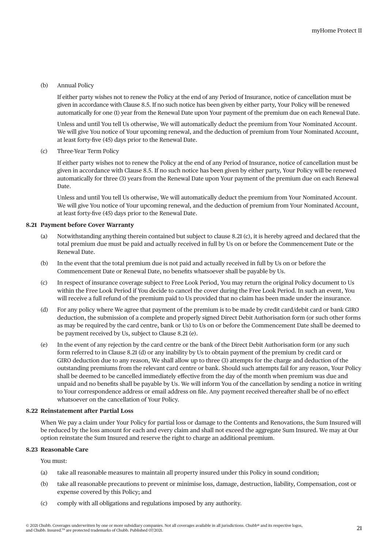#### (b) Annual Policy

If either party wishes not to renew the Policy at the end of any Period of Insurance, notice of cancellation must be given in accordance with Clause 8.5. If no such notice has been given by either party, Your Policy will be renewed automatically for one (1) year from the Renewal Date upon Your payment of the premium due on each Renewal Date.

Unless and until You tell Us otherwise, We will automatically deduct the premium from Your Nominated Account. We will give You notice of Your upcoming renewal, and the deduction of premium from Your Nominated Account, at least forty-five (45) days prior to the Renewal Date.

#### (c) Three-Year Term Policy

If either party wishes not to renew the Policy at the end of any Period of Insurance, notice of cancellation must be given in accordance with Clause 8.5. If no such notice has been given by either party, Your Policy will be renewed automatically for three (3) years from the Renewal Date upon Your payment of the premium due on each Renewal Date.

Unless and until You tell Us otherwise, We will automatically deduct the premium from Your Nominated Account. We will give You notice of Your upcoming renewal, and the deduction of premium from Your Nominated Account, at least forty-five (45) days prior to the Renewal Date.

# **8.21 Payment before Cover Warranty**

- (a) Notwithstanding anything therein contained but subject to clause 8.21 (c), it is hereby agreed and declared that the total premium due must be paid and actually received in full by Us on or before the Commencement Date or the Renewal Date.
- (b) In the event that the total premium due is not paid and actually received in full by Us on or before the Commencement Date or Renewal Date, no benefits whatsoever shall be payable by Us.
- (c) In respect of insurance coverage subject to Free Look Period, You may return the original Policy document to Us within the Free Look Period if You decide to cancel the cover during the Free Look Period. In such an event, You will receive a full refund of the premium paid to Us provided that no claim has been made under the insurance.
- (d) For any policy where We agree that payment of the premium is to be made by credit card/debit card or bank GIRO deduction, the submission of a complete and properly signed Direct Debit Authorisation form (or such other forms as may be required by the card centre, bank or Us) to Us on or before the Commencement Date shall be deemed to be payment received by Us, subject to Clause 8.21 (e).
- (e) In the event of any rejection by the card centre or the bank of the Direct Debit Authorisation form (or any such form referred to in Clause 8.21 (d) or any inability by Us to obtain payment of the premium by credit card or GIRO deduction due to any reason, We shall allow up to three (3) attempts for the charge and deduction of the outstanding premiums from the relevant card centre or bank. Should such attempts fail for any reason, Your Policy shall be deemed to be cancelled immediately effective from the day of the month when premium was due and unpaid and no benefits shall be payable by Us. We will inform You of the cancellation by sending a notice in writing to Your correspondence address or email address on file. Any payment received thereafter shall be of no effect whatsoever on the cancellation of Your Policy.

#### **8.22 Reinstatement after Partial Loss**

When We pay a claim under Your Policy for partial loss or damage to the Contents and Renovations, the Sum Insured will be reduced by the loss amount for each and every claim and shall not exceed the aggregate Sum Insured. We may at Our option reinstate the Sum Insured and reserve the right to charge an additional premium.

#### **8.23 Reasonable Care**

You must:

- (a) take all reasonable measures to maintain all property insured under this Policy in sound condition;
- (b) take all reasonable precautions to prevent or minimise loss, damage, destruction, liability, Compensation, cost or expense covered by this Policy; and
- (c) comply with all obligations and regulations imposed by any authority.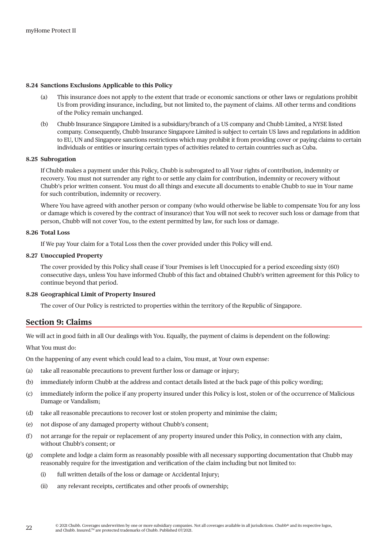#### **8.24 Sanctions Exclusions Applicable to this Policy**

- (a) This insurance does not apply to the extent that trade or economic sanctions or other laws or regulations prohibit Us from providing insurance, including, but not limited to, the payment of claims. All other terms and conditions of the Policy remain unchanged.
- (b) Chubb Insurance Singapore Limited is a subsidiary/branch of a US company and Chubb Limited, a NYSE listed company. Consequently, Chubb Insurance Singapore Limited is subject to certain US laws and regulations in addition to EU, UN and Singapore sanctions restrictions which may prohibit it from providing cover or paying claims to certain individuals or entities or insuring certain types of activities related to certain countries such as Cuba.

#### **8.25 Subrogation**

If Chubb makes a payment under this Policy, Chubb is subrogated to all Your rights of contribution, indemnity or recovery. You must not surrender any right to or settle any claim for contribution, indemnity or recovery without Chubb's prior written consent. You must do all things and execute all documents to enable Chubb to sue in Your name for such contribution, indemnity or recovery.

Where You have agreed with another person or company (who would otherwise be liable to compensate You for any loss or damage which is covered by the contract of insurance) that You will not seek to recover such loss or damage from that person, Chubb will not cover You, to the extent permitted by law, for such loss or damage.

### **8.26 Total Loss**

If We pay Your claim for a Total Loss then the cover provided under this Policy will end.

#### **8.27 Unoccupied Property**

The cover provided by this Policy shall cease if Your Premises is left Unoccupied for a period exceeding sixty (60) consecutive days, unless You have informed Chubb of this fact and obtained Chubb's written agreement for this Policy to continue beyond that period.

#### **8.28 Geographical Limit of Property Insured**

The cover of Our Policy is restricted to properties within the territory of the Republic of Singapore.

# **Section 9: Claims**

We will act in good faith in all Our dealings with You. Equally, the payment of claims is dependent on the following:

What You must do:

On the happening of any event which could lead to a claim, You must, at Your own expense:

- (a) take all reasonable precautions to prevent further loss or damage or injury;
- (b) immediately inform Chubb at the address and contact details listed at the back page of this policy wording;
- (c) immediately inform the police if any property insured under this Policy is lost, stolen or of the occurrence of Malicious Damage or Vandalism;
- (d) take all reasonable precautions to recover lost or stolen property and minimise the claim;
- (e) not dispose of any damaged property without Chubb's consent;
- (f ) not arrange for the repair or replacement of any property insured under this Policy, in connection with any claim, without Chubb's consent; or
- (g) complete and lodge a claim form as reasonably possible with all necessary supporting documentation that Chubb may reasonably require for the investigation and verification of the claim including but not limited to:
	- (i) full written details of the loss or damage or Accidental Injury;
	- (ii) any relevant receipts, certificates and other proofs of ownership;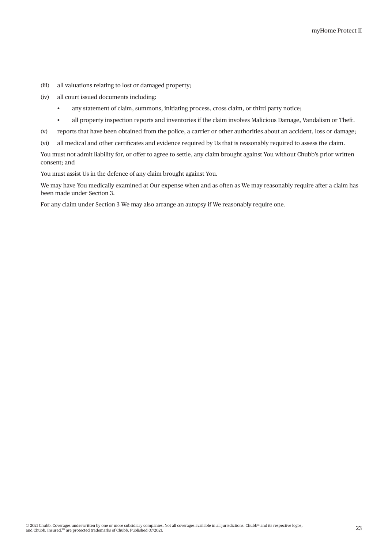- (iii) all valuations relating to lost or damaged property;
- (iv) all court issued documents including:
	- any statement of claim, summons, initiating process, cross claim, or third party notice;
	- all property inspection reports and inventories if the claim involves Malicious Damage, Vandalism or Theft.
- (v) reports that have been obtained from the police, a carrier or other authorities about an accident, loss or damage;
- (vi) all medical and other certificates and evidence required by Us that is reasonably required to assess the claim.

You must not admit liability for, or offer to agree to settle, any claim brought against You without Chubb's prior written consent; and

You must assist Us in the defence of any claim brought against You.

We may have You medically examined at Our expense when and as often as We may reasonably require after a claim has been made under Section 3.

For any claim under Section 3 We may also arrange an autopsy if We reasonably require one.